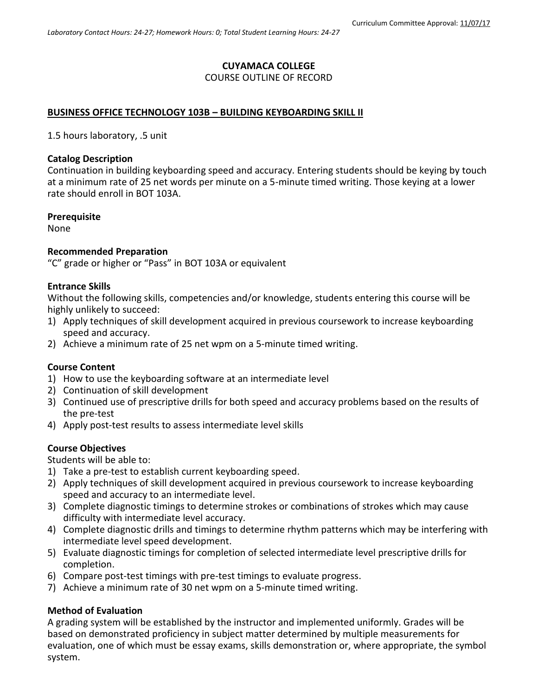# **CUYAMACA COLLEGE**

## COURSE OUTLINE OF RECORD

### **BUSINESS OFFICE TECHNOLOGY 103B – BUILDING KEYBOARDING SKILL II**

1.5 hours laboratory, .5 unit

#### **Catalog Description**

Continuation in building keyboarding speed and accuracy. Entering students should be keying by touch at a minimum rate of 25 net words per minute on a 5-minute timed writing. Those keying at a lower rate should enroll in BOT 103A.

#### **Prerequisite**

None

### **Recommended Preparation**

"C" grade or higher or "Pass" in BOT 103A or equivalent

#### **Entrance Skills**

Without the following skills, competencies and/or knowledge, students entering this course will be highly unlikely to succeed:

- 1) Apply techniques of skill development acquired in previous coursework to increase keyboarding speed and accuracy.
- 2) Achieve a minimum rate of 25 net wpm on a 5-minute timed writing.

#### **Course Content**

- 1) How to use the keyboarding software at an intermediate level
- 2) Continuation of skill development
- 3) Continued use of prescriptive drills for both speed and accuracy problems based on the results of the pre-test
- 4) Apply post-test results to assess intermediate level skills

## **Course Objectives**

Students will be able to:

- 1) Take a pre-test to establish current keyboarding speed.
- 2) Apply techniques of skill development acquired in previous coursework to increase keyboarding speed and accuracy to an intermediate level.
- 3) Complete diagnostic timings to determine strokes or combinations of strokes which may cause difficulty with intermediate level accuracy.
- 4) Complete diagnostic drills and timings to determine rhythm patterns which may be interfering with intermediate level speed development.
- 5) Evaluate diagnostic timings for completion of selected intermediate level prescriptive drills for completion.
- 6) Compare post-test timings with pre-test timings to evaluate progress.
- 7) Achieve a minimum rate of 30 net wpm on a 5-minute timed writing.

#### **Method of Evaluation**

A grading system will be established by the instructor and implemented uniformly. Grades will be based on demonstrated proficiency in subject matter determined by multiple measurements for evaluation, one of which must be essay exams, skills demonstration or, where appropriate, the symbol system.